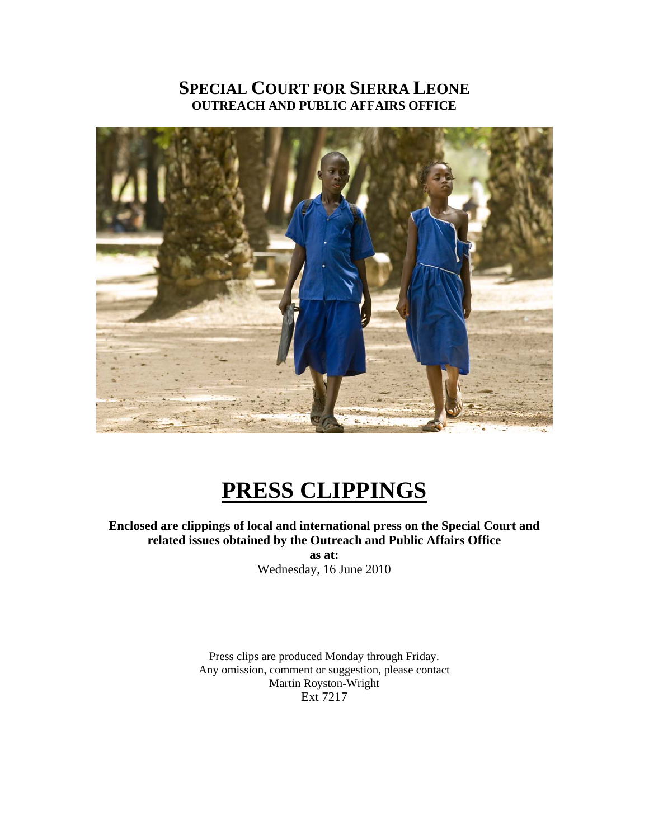# **SPECIAL COURT FOR SIERRA LEONE OUTREACH AND PUBLIC AFFAIRS OFFICE**



# **PRESS CLIPPINGS**

# **Enclosed are clippings of local and international press on the Special Court and related issues obtained by the Outreach and Public Affairs Office**

**as at:**  Wednesday, 16 June 2010

Press clips are produced Monday through Friday. Any omission, comment or suggestion, please contact Martin Royston-Wright Ext 7217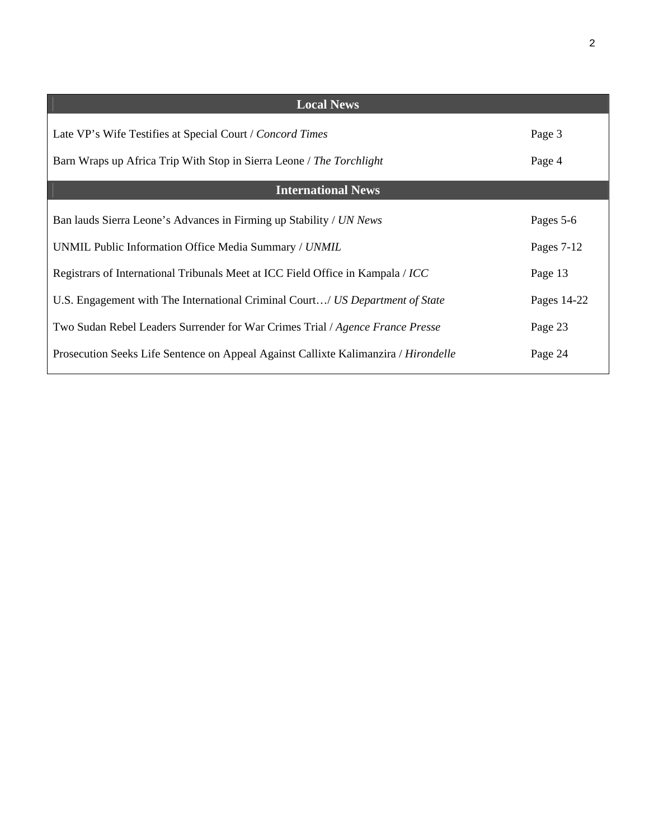| <b>Local News</b>                                                                   |             |
|-------------------------------------------------------------------------------------|-------------|
| Late VP's Wife Testifies at Special Court / Concord Times                           | Page 3      |
| Barn Wraps up Africa Trip With Stop in Sierra Leone / The Torchlight                | Page 4      |
| <b>International News</b>                                                           |             |
| Ban lauds Sierra Leone's Advances in Firming up Stability / UN News                 | Pages 5-6   |
| UNMIL Public Information Office Media Summary / UNMIL                               | Pages 7-12  |
| Registrars of International Tribunals Meet at ICC Field Office in Kampala / ICC     | Page 13     |
| U.S. Engagement with The International Criminal Court/ US Department of State       | Pages 14-22 |
| Two Sudan Rebel Leaders Surrender for War Crimes Trial / Agence France Presse       | Page 23     |
| Prosecution Seeks Life Sentence on Appeal Against Callixte Kalimanzira / Hirondelle | Page 24     |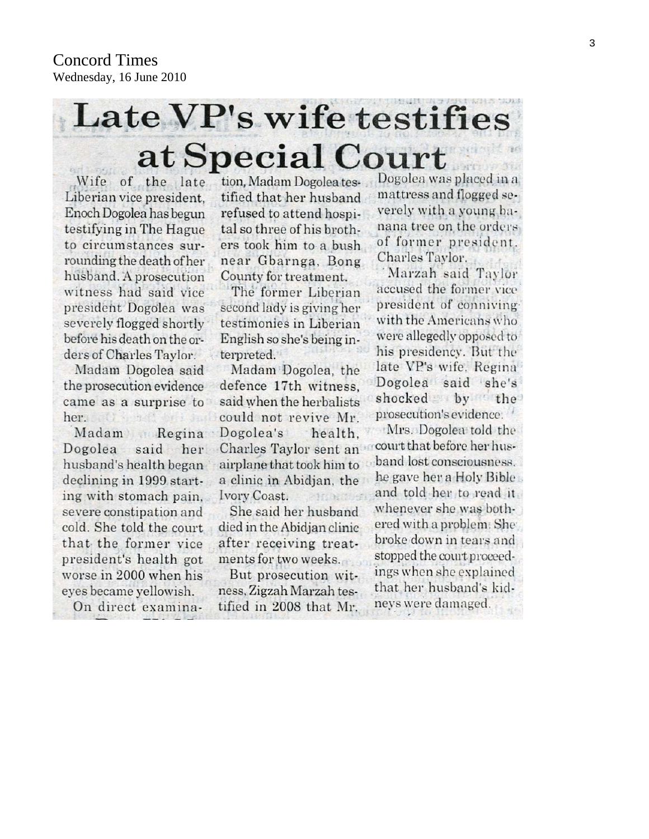# Late VP's wife testifies at Special Court

Wife of the late Liberian vice president. Enoch Dogolea has begun testifying in The Hague to circumstances surrounding the death of her husband. A prosecution witness had said vice president Dogolea was severely flogged shortly before his death on the orders of Charles Taylor. Madam Dogolea said the prosecution evidence came as a surprise to her. O have been

Madam Regina Dogolea said her husband's health began declining in 1999 starting with stomach pain. severe constipation and cold. She told the court that the former vice president's health got worse in 2000 when his eyes became yellowish.

On direct examina-

tion, Madam Dogolea testified that her husband refused to attend hospital so three of his brothers took him to a bush near Gbarnga, Bong County for treatment.

The former Liberian second lady is giving her testimonies in Liberian English so she's being interpreted.

Madam Dogolea, the defence 17th witness. said when the herbalists could not revive Mr. Dogolea's health. Charles Taylor sent an airplane that took him to a clinic in Abidian, the Ivory Coast.  $-100$  as  $550$ 

She said her husband died in the Abidjan clinic after receiving treatments for two weeks.

But prosecution witness, Zigzah Marzah testified in 2008 that Mr.

Dogolea was placed in a mattress and flogged severely with a young banana tree on the orders of former president. Charles Taylor.

Marzah said Taylor accused the former vice president of conniving with the Americans who were allegedly opposed to his presidency. But the late VP's wife, Regina Dogolea said she's shocked by the prosecution's evidence.

Mrs. Dogolea told the court that before her husband lost consciousness. he gave her a Holy Bible and told her to read it. whenever she was bothered with a problem. She broke down in tears and stopped the court proceedings when she explained that her husband's kidneys were damaged.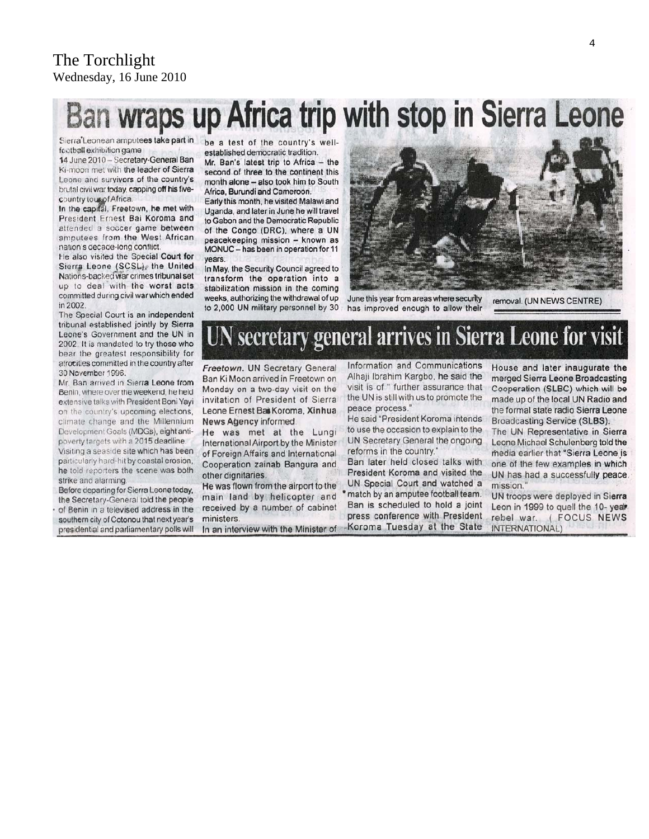# Ban wraps up Africa trip with stop in Sierra Leone

Sierra'Leonean amputees take part in football exhibition game

14 June 2010 - Secretary-General Ban Ki-moon met with the leader of Sierra Leone and survivors of the country's brutal civil war today, capping off his fivecountry tous of Africa.

In the capital, Freetown, he met with President Ernest Bai Koroma and attended a soccer game between amputees from the West African nation's decade-long conflict

He also visited the Special Court for Sierra Leone (SCSL), the United Nations-backed war crimes tribunal set up to deal with the worst acts committed during civil war which ended in 2002

The Special Court is an independent tribunal established jointly by Sierra Leone's Government and the UN in 2002. It is mandated to try those who bear the greatest responsibility for atrocities committed in the country after 30 November 1996.

Mr. Ban arrived in Sierra Leone from Benin, where over the weekend, he held extensive talks with President Boni Yayi on the country's upcoming elections, climate change and the Millennium Development Goals (MDGs), eight antipoverty targets with a 2015 deadline. Visiting a seaside site which has been

particularly hard-hit by coastal erosion, he told reporters the scene was both strike and alarming.

Before departing for Sierra Leone today, the Secretary-General told the people of Benin in a televised address in the southern city of Cotonou that next year's presidential and parliamentary polls will be a test of the country's wellestablished democratic tradition.

Mr. Ban's latest trip to Africa - the second of three to the continent this month alone - also took him to South Africa, Burundi and Cameroon.

Early this month, he visited Malawi and Uganda, and later in June he will travel to Gabon and the Democratic Republic of the Congo (DRC), where a UN peacekeeping mission - known as MONUC - has been in operation for 11 years.

In May, the Security Council agreed to transform the operation into a stabilization mission in the coming weeks, authorizing the withdrawal of up to 2,000 UN military personnel by 30



June this year from areas where security has improved enough to allow their

removal. (UN NEWS CENTRE)

# N secretary general arrives in Sierra Leone for visit

Freetown. UN Secretary General Ban Ki Moon arrived in Freetown on Monday on a two-day visit on the invitation of President of Sierra Leone Ernest Bai Koroma, Xinhua News Agency informed.

He was met at the Lungi International Airport by the Minister of Foreign Affairs and International Cooperation zainab Bangura and other dignitaries.

He was flown from the airport to the main land by helicopter and received by a number of cabinet ministers.

In an interview with the Minister of

Information and Communications Alhaji Ibrahim Kargbo, he said the visit is of " further assurance that the UN is still with us to promote the peace process."

He said "President Koroma intends" to use the occasion to explain to the UN Secretary General the ongoing reforms in the country."

Ban later held closed talks with President Koroma and visited the UN Special Court and watched a \* match by an amputee football team. Ban is scheduled to hold a joint press conference with President -Koroma Tuesday at the State

House and later inaugurate the merged Sierra Leone Broadcasting Cooperation (SLBC) which will be made up of the local UN Radio and the formal state radio Sierra Leone Broadcasting Service (SLBS).

The UN Representative in Sierra Leone Michael Schulenberg told the media earlier that "Sierra Leone is one of the few examples in which UN has had a successfully peace. mission.

UN troops were deployed in Sierra Leon in 1999 to quell the 10-year rebel war. ( FOCUS NEWS INTERNATIONAL)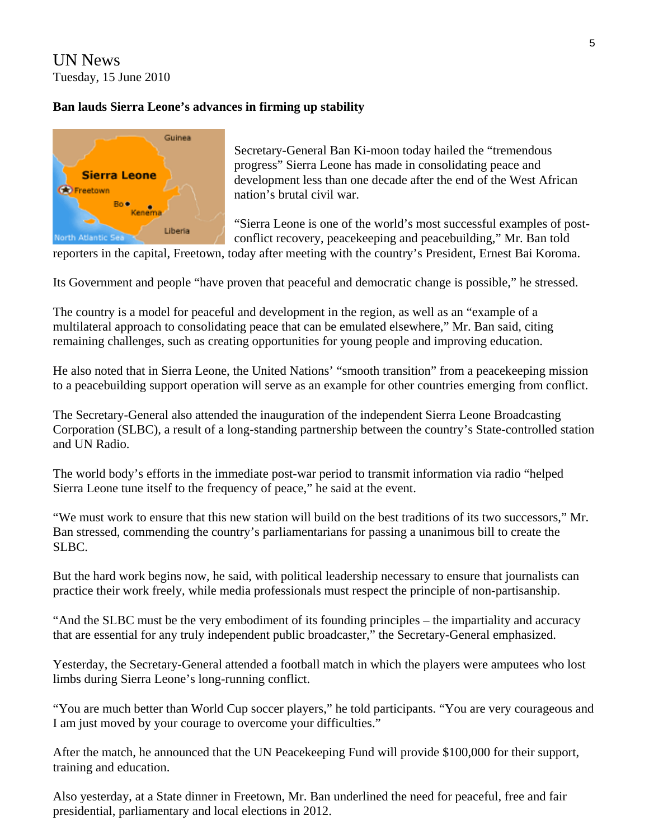UN News Tuesday, 15 June 2010

# **Ban lauds Sierra Leone's advances in firming up stability**



Secretary-General Ban Ki-moon today hailed the "tremendous progress" Sierra Leone has made in consolidating peace and development less than one decade after the end of the West African nation's brutal civil war.

"Sierra Leone is one of the world's most successful examples of postconflict recovery, peacekeeping and peacebuilding," Mr. Ban told

reporters in the capital, Freetown, today after meeting with the country's President, Ernest Bai Koroma.

Its Government and people "have proven that peaceful and democratic change is possible," he stressed.

The country is a model for peaceful and development in the region, as well as an "example of a multilateral approach to consolidating peace that can be emulated elsewhere," Mr. Ban said, citing remaining challenges, such as creating opportunities for young people and improving education.

He also noted that in Sierra Leone, the United Nations' "smooth transition" from a peacekeeping mission to a peacebuilding support operation will serve as an example for other countries emerging from conflict.

The Secretary-General also attended the inauguration of the independent Sierra Leone Broadcasting Corporation (SLBC), a result of a long-standing partnership between the country's State-controlled station and UN Radio.

The world body's efforts in the immediate post-war period to transmit information via radio "helped Sierra Leone tune itself to the frequency of peace," he [said](http://www.un.org/apps/sg/sgstats.asp?nid=4618) at the event.

"We must work to ensure that this new station will build on the best traditions of its two successors," Mr. Ban stressed, commending the country's parliamentarians for passing a unanimous bill to create the SLBC.

But the hard work begins now, he said, with political leadership necessary to ensure that journalists can practice their work freely, while media professionals must respect the principle of non-partisanship.

"And the SLBC must be the very embodiment of its founding principles – the impartiality and accuracy that are essential for any truly independent public broadcaster," the Secretary-General emphasized.

Yesterday, the Secretary-General attended a football match in which the players were amputees who lost limbs during Sierra Leone's long-running conflict.

"You are much better than World Cup soccer players," he told participants. "You are very courageous and I am just moved by your courage to overcome your difficulties."

After the match, he announced that the UN Peacekeeping Fund will provide \$100,000 for their support, training and education.

Also yesterday, at a State dinner in Freetown, Mr. Ban underlined the need for peaceful, free and fair presidential, parliamentary and local elections in 2012.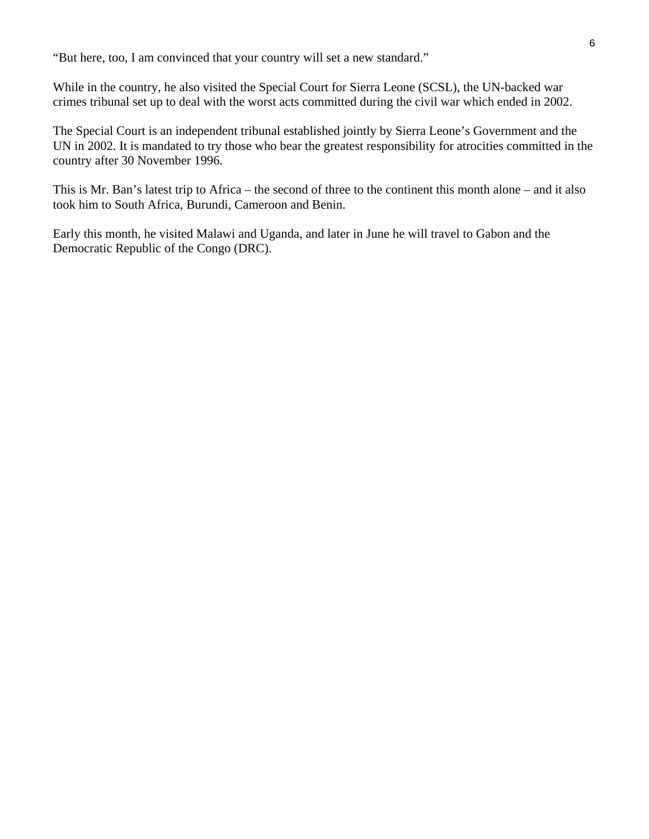"But here, too, I am convinced that your country will set a new standard."

While in the country, he also visited the Special Court for Sierra Leone (SCSL), the UN-backed war crimes tribunal set up to deal with the worst acts committed during the civil war which ended in 2002.

The Special Court is an independent tribunal established jointly by Sierra Leone's Government and the UN in 2002. It is mandated to try those who bear the greatest responsibility for atrocities committed in the country after 30 November 1996.

took him to South Africa, Burundi, Cameroon and Benin. This is Mr. Ban's latest trip to Africa – the second of three to the continent this month alone – and it also

Early this month, he visited Malawi and Uganda, and later in June he will travel to Gabon and the Democratic Republic of the Congo (DRC).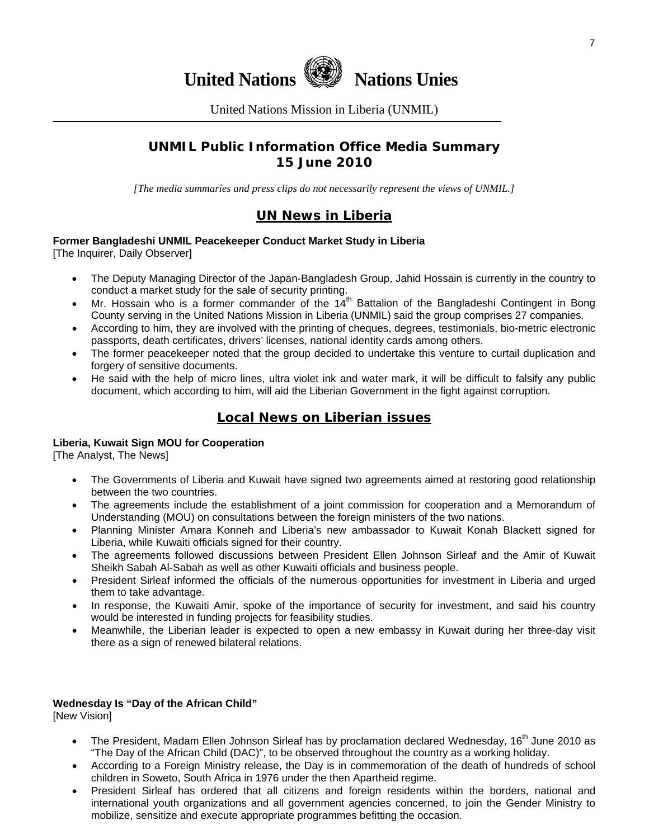

United Nations Mission in Liberia (UNMIL)

# **UNMIL Public Information Office Media Summary 15 June 2010**

*[The media summaries and press clips do not necessarily represent the views of UNMIL.]* 

# **UN News in Liberia**

# **Former Bangladeshi UNMIL Peacekeeper Conduct Market Study in Liberia**

[The Inquirer, Daily Observer]

- The Deputy Managing Director of the Japan-Bangladesh Group, Jahid Hossain is currently in the country to conduct a market study for the sale of security printing.
- Mr. Hossain who is a former commander of the  $14<sup>th</sup>$  Battalion of the Bangladeshi Contingent in Bong County serving in the United Nations Mission in Liberia (UNMIL) said the group comprises 27 companies.
- According to him, they are involved with the printing of cheques, degrees, testimonials, bio-metric electronic passports, death certificates, drivers' licenses, national identity cards among others.
- The former peacekeeper noted that the group decided to undertake this venture to curtail duplication and forgery of sensitive documents.
- He said with the help of micro lines, ultra violet ink and water mark, it will be difficult to falsify any public document, which according to him, will aid the Liberian Government in the fight against corruption.

# **Local News on Liberian issues**

### **Liberia, Kuwait Sign MOU for Cooperation**

[The Analyst, The News]

- The Governments of Liberia and Kuwait have signed two agreements aimed at restoring good relationship between the two countries.
- The agreements include the establishment of a joint commission for cooperation and a Memorandum of Understanding (MOU) on consultations between the foreign ministers of the two nations.
- Planning Minister Amara Konneh and Liberia's new ambassador to Kuwait Konah Blackett signed for Liberia, while Kuwaiti officials signed for their country.
- The agreements followed discussions between President Ellen Johnson Sirleaf and the Amir of Kuwait Sheikh Sabah Al-Sabah as well as other Kuwaiti officials and business people.
- President Sirleaf informed the officials of the numerous opportunities for investment in Liberia and urged them to take advantage.
- In response, the Kuwaiti Amir, spoke of the importance of security for investment, and said his country would be interested in funding projects for feasibility studies.
- Meanwhile, the Liberian leader is expected to open a new embassy in Kuwait during her three-day visit there as a sign of renewed bilateral relations.

# **Wednesday Is "Day of the African Child"**

[New Vision]

- The President, Madam Ellen Johnson Sirleaf has by proclamation declared Wednesday, 16<sup>th</sup> June 2010 as "The Day of the African Child (DAC)", to be observed throughout the country as a working holiday.
- According to a Foreign Ministry release, the Day is in commemoration of the death of hundreds of school children in Soweto, South Africa in 1976 under the then Apartheid regime.
- President Sirleaf has ordered that all citizens and foreign residents within the borders, national and international youth organizations and all government agencies concerned, to join the Gender Ministry to mobilize, sensitize and execute appropriate programmes befitting the occasion.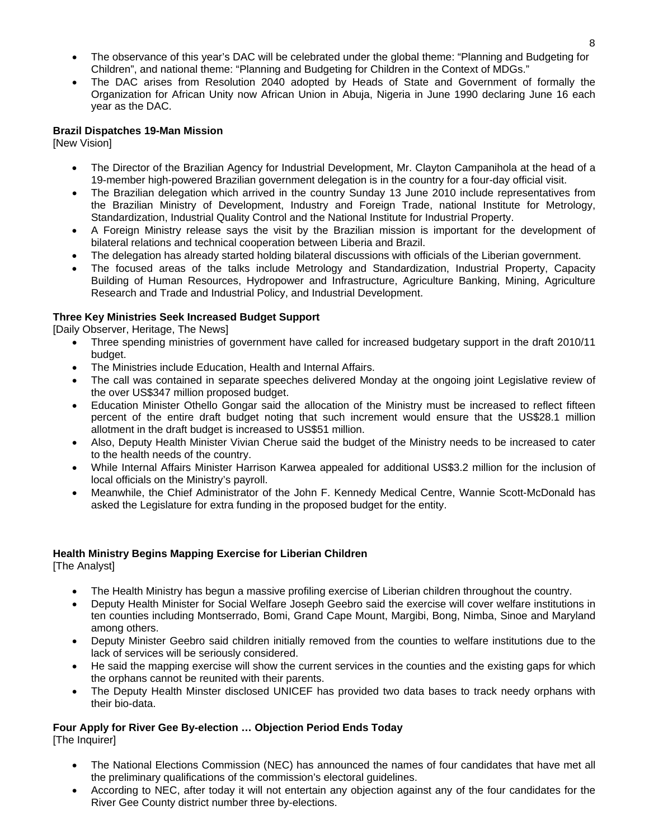- The observance of this year's DAC will be celebrated under the global theme: "Planning and Budgeting for Children", and national theme: "Planning and Budgeting for Children in the Context of MDGs."
- The DAC arises from Resolution 2040 adopted by Heads of State and Government of formally the Organization for African Unity now African Union in Abuja, Nigeria in June 1990 declaring June 16 each year as the DAC.

#### **Brazil Dispatches 19-Man Mission**

[New Vision]

- The Director of the Brazilian Agency for Industrial Development, Mr. Clayton Campanihola at the head of a 19-member high-powered Brazilian government delegation is in the country for a four-day official visit.
- The Brazilian delegation which arrived in the country Sunday 13 June 2010 include representatives from the Brazilian Ministry of Development, Industry and Foreign Trade, national Institute for Metrology, Standardization, Industrial Quality Control and the National Institute for Industrial Property.
- A Foreign Ministry release says the visit by the Brazilian mission is important for the development of bilateral relations and technical cooperation between Liberia and Brazil.
- The delegation has already started holding bilateral discussions with officials of the Liberian government.
- The focused areas of the talks include Metrology and Standardization, Industrial Property, Capacity Building of Human Resources, Hydropower and Infrastructure, Agriculture Banking, Mining, Agriculture Research and Trade and Industrial Policy, and Industrial Development.

#### **Three Key Ministries Seek Increased Budget Support**

[Daily Observer, Heritage, The News]

- Three spending ministries of government have called for increased budgetary support in the draft 2010/11 budget.
- The Ministries include Education, Health and Internal Affairs.
- The call was contained in separate speeches delivered Monday at the ongoing joint Legislative review of the over US\$347 million proposed budget.
- Education Minister Othello Gongar said the allocation of the Ministry must be increased to reflect fifteen percent of the entire draft budget noting that such increment would ensure that the US\$28.1 million allotment in the draft budget is increased to US\$51 million.
- Also, Deputy Health Minister Vivian Cherue said the budget of the Ministry needs to be increased to cater to the health needs of the country.
- While Internal Affairs Minister Harrison Karwea appealed for additional US\$3.2 million for the inclusion of local officials on the Ministry's payroll.
- Meanwhile, the Chief Administrator of the John F. Kennedy Medical Centre, Wannie Scott-McDonald has asked the Legislature for extra funding in the proposed budget for the entity.

#### **Health Ministry Begins Mapping Exercise for Liberian Children**

[The Analyst]

- The Health Ministry has begun a massive profiling exercise of Liberian children throughout the country.
- Deputy Health Minister for Social Welfare Joseph Geebro said the exercise will cover welfare institutions in ten counties including Montserrado, Bomi, Grand Cape Mount, Margibi, Bong, Nimba, Sinoe and Maryland among others.
- Deputy Minister Geebro said children initially removed from the counties to welfare institutions due to the lack of services will be seriously considered.
- He said the mapping exercise will show the current services in the counties and the existing gaps for which the orphans cannot be reunited with their parents.
- The Deputy Health Minster disclosed UNICEF has provided two data bases to track needy orphans with their bio-data.

# **Four Apply for River Gee By-election … Objection Period Ends Today**

[The Inquirer]

- The National Elections Commission (NEC) has announced the names of four candidates that have met all the preliminary qualifications of the commission's electoral guidelines.
- According to NEC, after today it will not entertain any objection against any of the four candidates for the River Gee County district number three by-elections.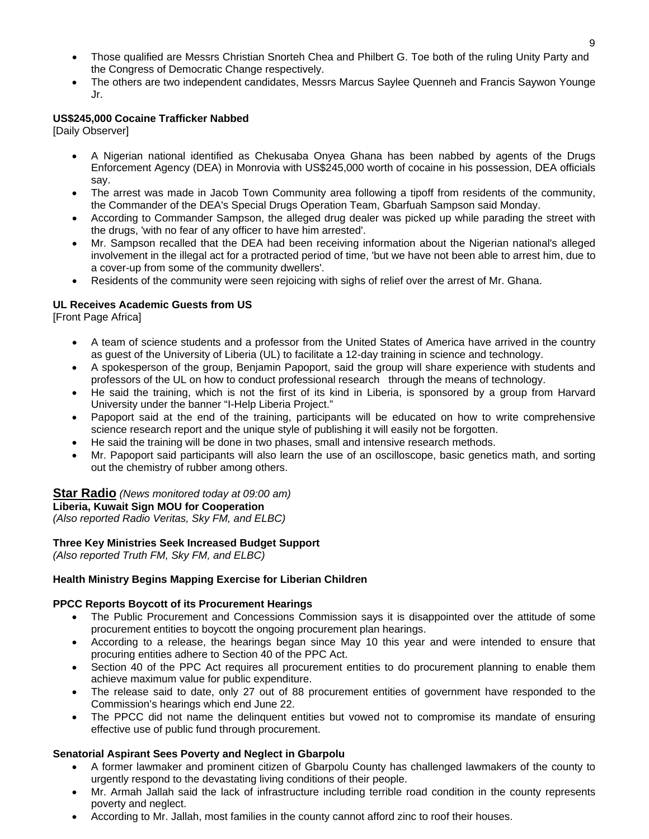- Those qualified are Messrs Christian Snorteh Chea and Philbert G. Toe both of the ruling Unity Party and the Congress of Democratic Change respectively.
- The others are two independent candidates, Messrs Marcus Saylee Quenneh and Francis Saywon Younge Jr.

## **US\$245,000 Cocaine Trafficker Nabbed**

[Daily Observer]

- A Nigerian national identified as Chekusaba Onyea Ghana has been nabbed by agents of the Drugs Enforcement Agency (DEA) in Monrovia with US\$245,000 worth of cocaine in his possession, DEA officials say.
- The arrest was made in Jacob Town Community area following a tipoff from residents of the community, the Commander of the DEA's Special Drugs Operation Team, Gbarfuah Sampson said Monday.
- According to Commander Sampson, the alleged drug dealer was picked up while parading the street with the drugs, 'with no fear of any officer to have him arrested'.
- Mr. Sampson recalled that the DEA had been receiving information about the Nigerian national's alleged involvement in the illegal act for a protracted period of time, 'but we have not been able to arrest him, due to a cover-up from some of the community dwellers'.
- Residents of the community were seen rejoicing with sighs of relief over the arrest of Mr. Ghana.

#### **UL Receives Academic Guests from US**

[Front Page Africa]

- A team of science students and a professor from the United States of America have arrived in the country as guest of the University of Liberia (UL) to facilitate a 12-day training in science and technology.
- A spokesperson of the group, Benjamin Papoport, said the group will share experience with students and professors of the UL on how to conduct professional research through the means of technology.
- He said the training, which is not the first of its kind in Liberia, is sponsored by a group from Harvard University under the banner "I-Help Liberia Project."
- Papoport said at the end of the training, participants will be educated on how to write comprehensive science research report and the unique style of publishing it will easily not be forgotten.
- He said the training will be done in two phases, small and intensive research methods.
- Mr. Papoport said participants will also learn the use of an oscilloscope, basic genetics math, and sorting out the chemistry of rubber among others.

#### **Star Radio** *(News monitored today at 09:00 am)*

#### **Liberia, Kuwait Sign MOU for Cooperation**

*(Also reported Radio Veritas, Sky FM, and ELBC)*

#### **Three Key Ministries Seek Increased Budget Support**

*(Also reported Truth FM, Sky FM, and ELBC)*

#### **Health Ministry Begins Mapping Exercise for Liberian Children**

#### **PPCC Reports Boycott of its Procurement Hearings**

- The Public Procurement and Concessions Commission says it is disappointed over the attitude of some procurement entities to boycott the ongoing procurement plan hearings.
- According to a release, the hearings began since May 10 this year and were intended to ensure that procuring entities adhere to Section 40 of the PPC Act.
- Section 40 of the PPC Act requires all procurement entities to do procurement planning to enable them achieve maximum value for public expenditure.
- The release said to date, only 27 out of 88 procurement entities of government have responded to the Commission's hearings which end June 22.
- The PPCC did not name the delinquent entities but vowed not to compromise its mandate of ensuring effective use of public fund through procurement.

#### **Senatorial Aspirant Sees Poverty and Neglect in Gbarpolu**

- A former lawmaker and prominent citizen of Gbarpolu County has challenged lawmakers of the county to urgently respond to the devastating living conditions of their people.
- Mr. Armah Jallah said the lack of infrastructure including terrible road condition in the county represents poverty and neglect.
- According to Mr. Jallah, most families in the county cannot afford zinc to roof their houses.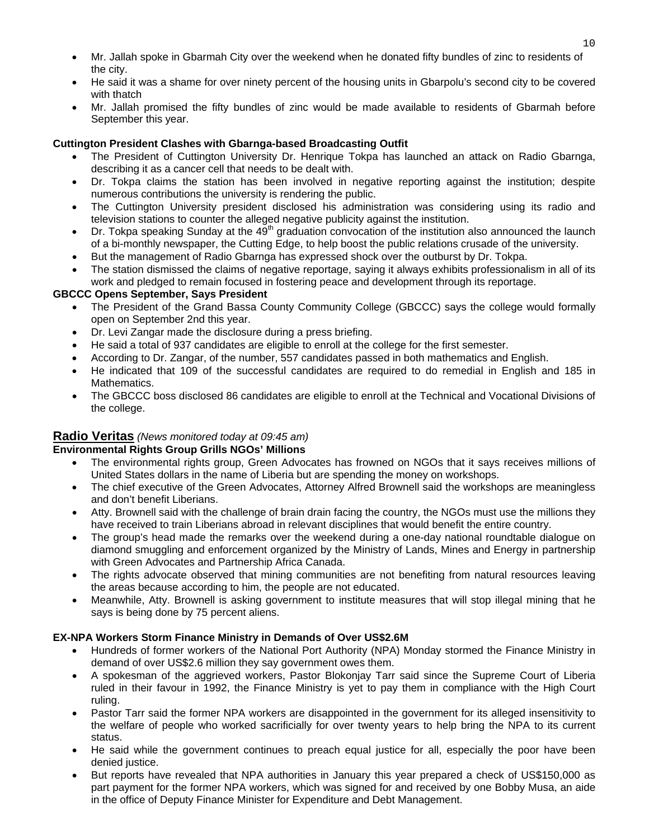- Mr. Jallah spoke in Gbarmah City over the weekend when he donated fifty bundles of zinc to residents of the city.
- He said it was a shame for over ninety percent of the housing units in Gbarpolu's second city to be covered with thatch
- Mr. Jallah promised the fifty bundles of zinc would be made available to residents of Gbarmah before September this year.

# **Cuttington President Clashes with Gbarnga-based Broadcasting Outfit**

- The President of Cuttington University Dr. Henrique Tokpa has launched an attack on Radio Gbarnga, describing it as a cancer cell that needs to be dealt with.
- Dr. Tokpa claims the station has been involved in negative reporting against the institution; despite numerous contributions the university is rendering the public.
- The Cuttington University president disclosed his administration was considering using its radio and television stations to counter the alleged negative publicity against the institution.
- Dr. Tokpa speaking Sunday at the 49<sup>th</sup> graduation convocation of the institution also announced the launch of a bi-monthly newspaper, the Cutting Edge, to help boost the public relations crusade of the university.
- But the management of Radio Gbarnga has expressed shock over the outburst by Dr. Tokpa.
- The station dismissed the claims of negative reportage, saying it always exhibits professionalism in all of its work and pledged to remain focused in fostering peace and development through its reportage.

### **GBCCC Opens September, Says President**

- The President of the Grand Bassa County Community College (GBCCC) says the college would formally open on September 2nd this year.
- Dr. Levi Zangar made the disclosure during a press briefing.
- He said a total of 937 candidates are eligible to enroll at the college for the first semester.
- According to Dr. Zangar, of the number, 557 candidates passed in both mathematics and English.
- He indicated that 109 of the successful candidates are required to do remedial in English and 185 in Mathematics.
- The GBCCC boss disclosed 86 candidates are eligible to enroll at the Technical and Vocational Divisions of the college.

# **Radio Veritas** *(News monitored today at 09:45 am)*

#### **Environmental Rights Group Grills NGOs' Millions**

- The environmental rights group, Green Advocates has frowned on NGOs that it says receives millions of United States dollars in the name of Liberia but are spending the money on workshops.
- The chief executive of the Green Advocates, Attorney Alfred Brownell said the workshops are meaningless and don't benefit Liberians.
- Atty. Brownell said with the challenge of brain drain facing the country, the NGOs must use the millions they have received to train Liberians abroad in relevant disciplines that would benefit the entire country.
- The group's head made the remarks over the weekend during a one-day national roundtable dialogue on diamond smuggling and enforcement organized by the Ministry of Lands, Mines and Energy in partnership with Green Advocates and Partnership Africa Canada.
- The rights advocate observed that mining communities are not benefiting from natural resources leaving the areas because according to him, the people are not educated.
- Meanwhile, Atty. Brownell is asking government to institute measures that will stop illegal mining that he says is being done by 75 percent aliens.

# **EX-NPA Workers Storm Finance Ministry in Demands of Over US\$2.6M**

- Hundreds of former workers of the National Port Authority (NPA) Monday stormed the Finance Ministry in demand of over US\$2.6 million they say government owes them.
- A spokesman of the aggrieved workers, Pastor Blokonjay Tarr said since the Supreme Court of Liberia ruled in their favour in 1992, the Finance Ministry is yet to pay them in compliance with the High Court ruling.
- Pastor Tarr said the former NPA workers are disappointed in the government for its alleged insensitivity to the welfare of people who worked sacrificially for over twenty years to help bring the NPA to its current status.
- He said while the government continues to preach equal justice for all, especially the poor have been denied justice.
- But reports have revealed that NPA authorities in January this year prepared a check of US\$150,000 as part payment for the former NPA workers, which was signed for and received by one Bobby Musa, an aide in the office of Deputy Finance Minister for Expenditure and Debt Management.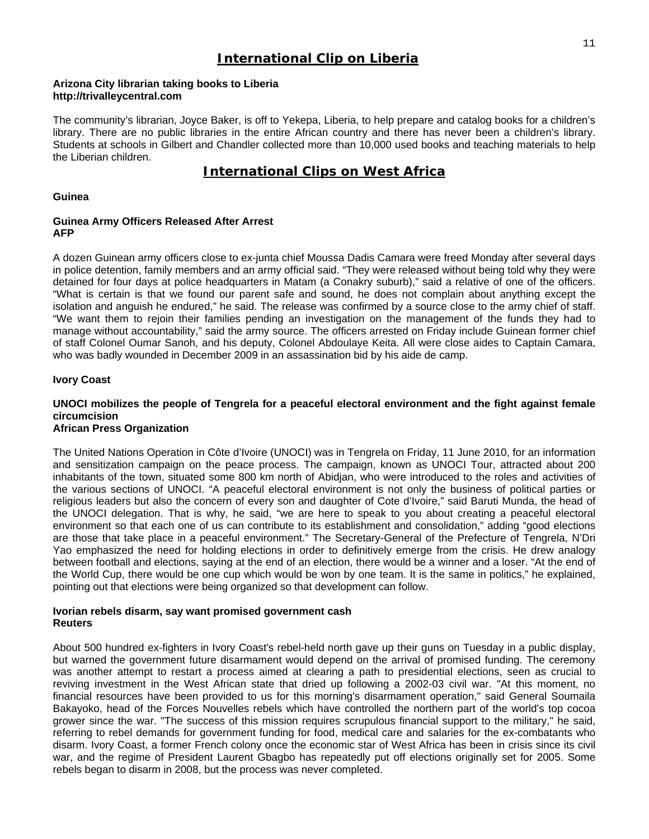# **International Clip on Liberia**

#### **Arizona City librarian taking books to Liberia http://trivalleycentral.com**

The community's librarian, Joyce Baker, is off to Yekepa, Liberia, to help prepare and catalog books for a children's library. There are no public libraries in the entire African country and there has never been a children's library. Students at schools in Gilbert and Chandler collected more than 10,000 used books and teaching materials to help the Liberian children.

# **International Clips on West Africa**

#### **Guinea**

#### **Guinea Army Officers Released After Arrest AFP**

A dozen Guinean army officers close to ex-junta chief Moussa Dadis Camara were freed Monday after several days in police detention, family members and an army official said. "They were released without being told why they were detained for four days at police headquarters in Matam (a Conakry suburb)," said a relative of one of the officers. "What is certain is that we found our parent safe and sound, he does not complain about anything except the isolation and anguish he endured," he said. The release was confirmed by a source close to the army chief of staff. "We want them to rejoin their families pending an investigation on the management of the funds they had to manage without accountability," said the army source. The officers arrested on Friday include Guinean former chief of staff Colonel Oumar Sanoh, and his deputy, Colonel Abdoulaye Keita. All were close aides to Captain Camara, who was badly wounded in December 2009 in an assassination bid by his aide de camp.

#### **Ivory Coast**

### **UNOCI mobilizes the people of Tengrela for a peaceful electoral environment and the fight against female circumcision**

#### **African Press Organization**

The United Nations Operation in Côte d'Ivoire (UNOCI) was in Tengrela on Friday, 11 June 2010, for an information and sensitization campaign on the peace process. The campaign, known as UNOCI Tour, attracted about 200 inhabitants of the town, situated some 800 km north of Abidjan, who were introduced to the roles and activities of the various sections of UNOCI. "A peaceful electoral environment is not only the business of political parties or religious leaders but also the concern of every son and daughter of Cote d'Ivoire," said Baruti Munda, the head of the UNOCI delegation. That is why, he said, "we are here to speak to you about creating a peaceful electoral environment so that each one of us can contribute to its establishment and consolidation," adding "good elections are those that take place in a peaceful environment." The Secretary-General of the Prefecture of Tengrela, N'Dri Yao emphasized the need for holding elections in order to definitively emerge from the crisis. He drew analogy between football and elections, saying at the end of an election, there would be a winner and a loser. "At the end of the World Cup, there would be one cup which would be won by one team. It is the same in politics," he explained, pointing out that elections were being organized so that development can follow.

#### **Ivorian rebels disarm, say want promised government cash Reuters**

About 500 hundred ex-fighters in Ivory Coast's rebel-held north gave up their guns on Tuesday in a public display, but warned the government future disarmament would depend on the arrival of promised funding. The ceremony was another attempt to restart a process aimed at clearing a path to presidential elections, seen as crucial to reviving investment in the West African state that dried up following a 2002-03 civil war. "At this moment, no financial resources have been provided to us for this morning's disarmament operation," said General Soumaila Bakayoko, head of the Forces Nouvelles rebels which have controlled the northern part of the world's top cocoa grower since the war. "The success of this mission requires scrupulous financial support to the military," he said, referring to rebel demands for government funding for food, medical care and salaries for the ex-combatants who disarm. Ivory Coast, a former French colony once the economic star of West Africa has been in crisis since its civil war, and the regime of President Laurent Gbagbo has repeatedly put off elections originally set for 2005. Some rebels began to disarm in 2008, but the process was never completed.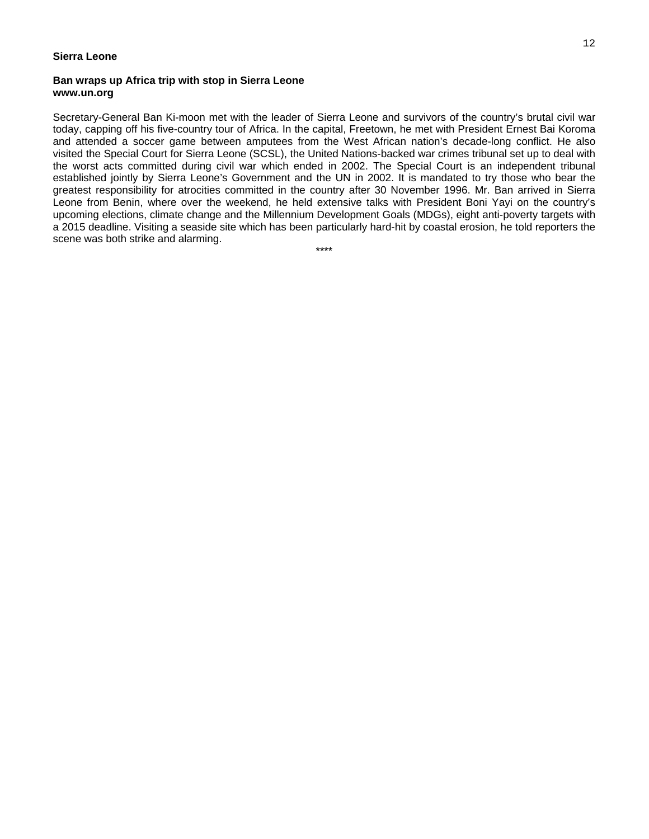#### **Sierra Leone**

#### **Ban wraps up Africa trip with stop in Sierra Leone www.un.org**

Secretary-General Ban Ki-moon met with the leader of Sierra Leone and survivors of the country's brutal civil war today, capping off his five-country tour of Africa. In the capital, Freetown, he met with President Ernest Bai Koroma and attended a soccer game between amputees from the West African nation's decade-long conflict. He also visited the Special Court for Sierra Leone (SCSL), the United Nations-backed war crimes tribunal set up to deal with the worst acts committed during civil war which ended in 2002. The Special Court is an independent tribunal established jointly by Sierra Leone's Government and the UN in 2002. It is mandated to try those who bear the greatest responsibility for atrocities committed in the country after 30 November 1996. Mr. Ban arrived in Sierra Leone from Benin, where over the weekend, he held extensive talks with President Boni Yayi on the country's upcoming elections, climate change and the Millennium Development Goals (MDGs), eight anti-poverty targets with a 2015 deadline. Visiting a seaside site which has been particularly hard-hit by coastal erosion, he told reporters the scene was both strike and alarming.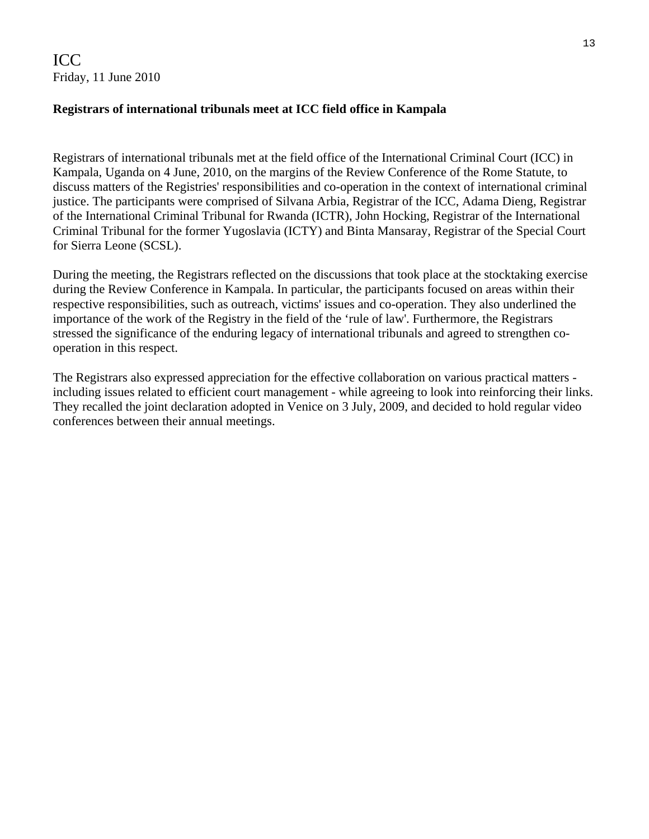ICC Friday, 11 June 2010

# **Registrars of international tribunals meet at ICC field office in Kampala**

Registrars of international tribunals met at the field office of the International Criminal Court (ICC) in Kampala, Uganda on 4 June, 2010, on the margins of the Review Conference of the Rome Statute, to discuss matters of the Registries' responsibilities and co-operation in the context of international criminal justice. The participants were comprised of Silvana Arbia, Registrar of the ICC, Adama Dieng, Registrar of the International Criminal Tribunal for Rwanda (ICTR), John Hocking, Registrar of the International Criminal Tribunal for the former Yugoslavia (ICTY) and Binta Mansaray, Registrar of the Special Court for Sierra Leone (SCSL).

During the meeting, the Registrars reflected on the discussions that took place at the stocktaking exercise during the Review Conference in Kampala. In particular, the participants focused on areas within their respective responsibilities, such as outreach, victims' issues and co-operation. They also underlined the importance of the work of the Registry in the field of the 'rule of law'. Furthermore, the Registrars stressed the significance of the enduring legacy of international tribunals and agreed to strengthen cooperation in this respect.

The Registrars also expressed appreciation for the effective collaboration on various practical matters including issues related to efficient court management - while agreeing to look into reinforcing their links. They recalled the joint declaration adopted in Venice on 3 July, 2009, and decided to hold regular video conferences between their annual meetings.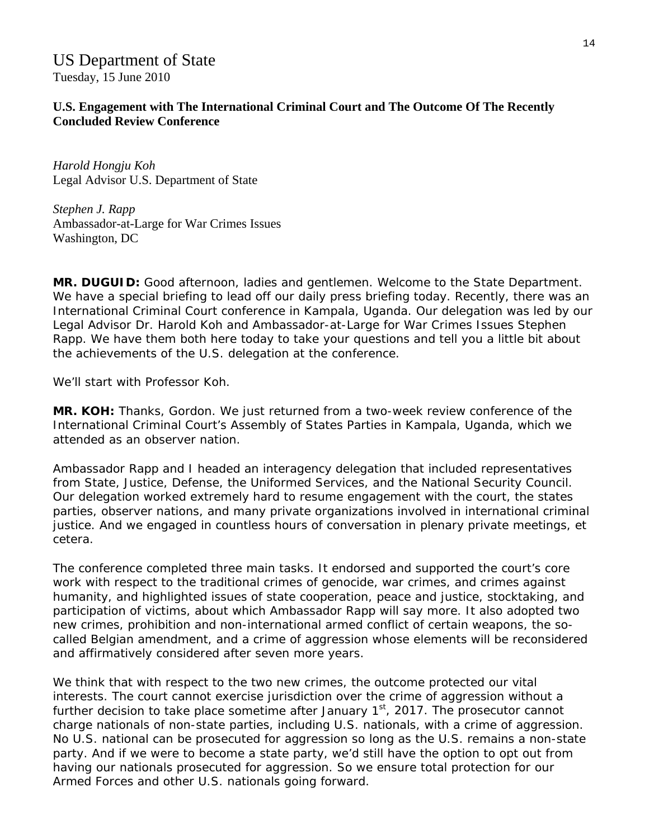# US Department of State Tuesday, 15 June 2010

**U.S. Engagement with The International Criminal Court and The Outcome Of The Recently Concluded Review Conference** 

*Harold Hongju Koh*  Legal Advisor U.S. Department of State

*Stephen J. Rapp*  Ambassador-at-Large for War Crimes Issues Washington, DC

**MR. DUGUID:** Good afternoon, ladies and gentlemen. Welcome to the State Department. We have a special briefing to lead off our daily press briefing today. Recently, there was an International Criminal Court conference in Kampala, Uganda. Our delegation was led by our Legal Advisor Dr. Harold Koh and Ambassador-at-Large for War Crimes Issues Stephen Rapp. We have them both here today to take your questions and tell you a little bit about the achievements of the U.S. delegation at the conference.

We'll start with Professor Koh.

**MR. KOH:** Thanks, Gordon. We just returned from a two-week review conference of the International Criminal Court's Assembly of States Parties in Kampala, Uganda, which we attended as an observer nation.

Ambassador Rapp and I headed an interagency delegation that included representatives from State, Justice, Defense, the Uniformed Services, and the National Security Council. Our delegation worked extremely hard to resume engagement with the court, the states parties, observer nations, and many private organizations involved in international criminal justice. And we engaged in countless hours of conversation in plenary private meetings, et cetera.

The conference completed three main tasks. It endorsed and supported the court's core work with respect to the traditional crimes of genocide, war crimes, and crimes against humanity, and highlighted issues of state cooperation, peace and justice, stocktaking, and participation of victims, about which Ambassador Rapp will say more. It also adopted two new crimes, prohibition and non-international armed conflict of certain weapons, the socalled Belgian amendment, and a crime of aggression whose elements will be reconsidered and affirmatively considered after seven more years.

We think that with respect to the two new crimes, the outcome protected our vital interests. The court cannot exercise jurisdiction over the crime of aggression without a further decision to take place sometime after January  $1<sup>st</sup>$ , 2017. The prosecutor cannot charge nationals of non-state parties, including U.S. nationals, with a crime of aggression. No U.S. national can be prosecuted for aggression so long as the U.S. remains a non-state party. And if we were to become a state party, we'd still have the option to opt out from having our nationals prosecuted for aggression. So we ensure total protection for our Armed Forces and other U.S. nationals going forward.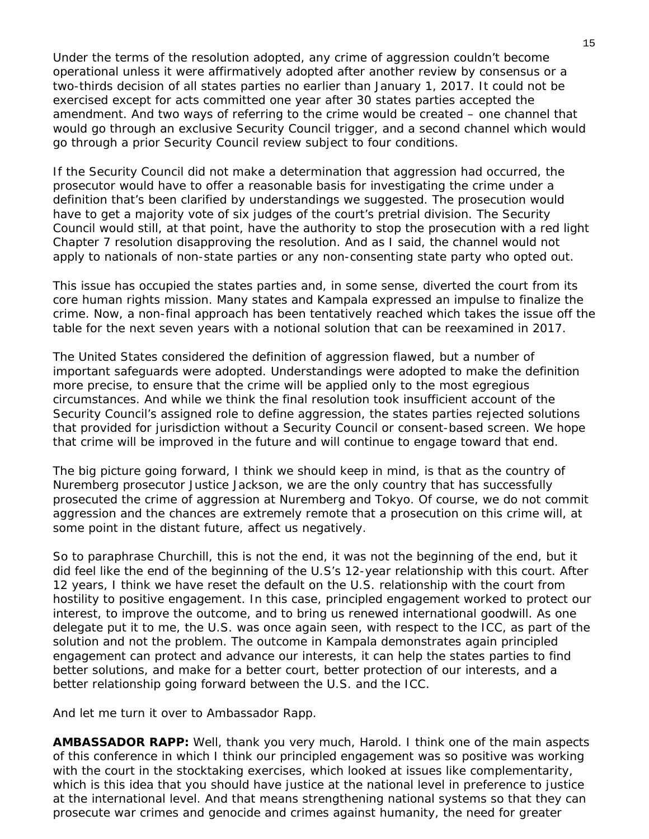Under the terms of the resolution adopted, any crime of aggression couldn't become operational unless it were affirmatively adopted after another review by consensus or a two-thirds decision of all states parties no earlier than January 1, 2017. It could not be exercised except for acts committed one year after 30 states parties accepted the amendment. And two ways of referring to the crime would be created – one channel that would go through an exclusive Security Council trigger, and a second channel which would go through a prior Security Council review subject to four conditions.

If the Security Council did not make a determination that aggression had occurred, the prosecutor would have to offer a reasonable basis for investigating the crime under a definition that's been clarified by understandings we suggested. The prosecution would have to get a majority vote of six judges of the court's pretrial division. The Security Council would still, at that point, have the authority to stop the prosecution with a red light Chapter 7 resolution disapproving the resolution. And as I said, the channel would not apply to nationals of non-state parties or any non-consenting state party who opted out.

This issue has occupied the states parties and, in some sense, diverted the court from its core human rights mission. Many states and Kampala expressed an impulse to finalize the crime. Now, a non-final approach has been tentatively reached which takes the issue off the table for the next seven years with a notional solution that can be reexamined in 2017.

The United States considered the definition of aggression flawed, but a number of important safeguards were adopted. Understandings were adopted to make the definition more precise, to ensure that the crime will be applied only to the most egregious circumstances. And while we think the final resolution took insufficient account of the Security Council's assigned role to define aggression, the states parties rejected solutions that provided for jurisdiction without a Security Council or consent-based screen. We hope that crime will be improved in the future and will continue to engage toward that end.

The big picture going forward, I think we should keep in mind, is that as the country of Nuremberg prosecutor Justice Jackson, we are the only country that has successfully prosecuted the crime of aggression at Nuremberg and Tokyo. Of course, we do not commit aggression and the chances are extremely remote that a prosecution on this crime will, at some point in the distant future, affect us negatively.

So to paraphrase Churchill, this is not the end, it was not the beginning of the end, but it did feel like the end of the beginning of the U.S's 12-year relationship with this court. After 12 years, I think we have reset the default on the U.S. relationship with the court from hostility to positive engagement. In this case, principled engagement worked to protect our interest, to improve the outcome, and to bring us renewed international goodwill. As one delegate put it to me, the U.S. was once again seen, with respect to the ICC, as part of the solution and not the problem. The outcome in Kampala demonstrates again principled engagement can protect and advance our interests, it can help the states parties to find better solutions, and make for a better court, better protection of our interests, and a better relationship going forward between the U.S. and the ICC.

And let me turn it over to Ambassador Rapp.

**AMBASSADOR RAPP:** Well, thank you very much, Harold. I think one of the main aspects of this conference in which I think our principled engagement was so positive was working with the court in the stocktaking exercises, which looked at issues like complementarity, which is this idea that you should have justice at the national level in preference to justice at the international level. And that means strengthening national systems so that they can prosecute war crimes and genocide and crimes against humanity, the need for greater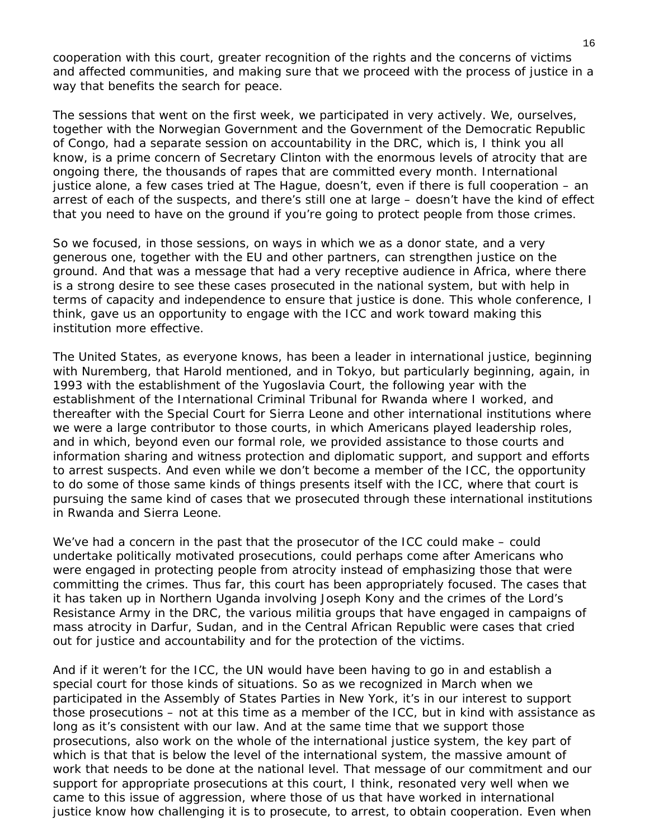cooperation with this court, greater recognition of the rights and the concerns of victims and affected communities, and making sure that we proceed with the process of justice in a way that benefits the search for peace.

The sessions that went on the first week, we participated in very actively. We, ourselves, together with the Norwegian Government and the Government of the Democratic Republic of Congo, had a separate session on accountability in the DRC, which is, I think you all know, is a prime concern of Secretary Clinton with the enormous levels of atrocity that are ongoing there, the thousands of rapes that are committed every month. International justice alone, a few cases tried at The Hague, doesn't, even if there is full cooperation – an arrest of each of the suspects, and there's still one at large – doesn't have the kind of effect that you need to have on the ground if you're going to protect people from those crimes.

So we focused, in those sessions, on ways in which we as a donor state, and a very generous one, together with the EU and other partners, can strengthen justice on the ground. And that was a message that had a very receptive audience in Africa, where there is a strong desire to see these cases prosecuted in the national system, but with help in terms of capacity and independence to ensure that justice is done. This whole conference, I think, gave us an opportunity to engage with the ICC and work toward making this institution more effective.

The United States, as everyone knows, has been a leader in international justice, beginning with Nuremberg, that Harold mentioned, and in Tokyo, but particularly beginning, again, in 1993 with the establishment of the Yugoslavia Court, the following year with the establishment of the International Criminal Tribunal for Rwanda where I worked, and thereafter with the Special Court for Sierra Leone and other international institutions where we were a large contributor to those courts, in which Americans played leadership roles, and in which, beyond even our formal role, we provided assistance to those courts and information sharing and witness protection and diplomatic support, and support and efforts to arrest suspects. And even while we don't become a member of the ICC, the opportunity to do some of those same kinds of things presents itself with the ICC, where that court is pursuing the same kind of cases that we prosecuted through these international institutions in Rwanda and Sierra Leone.

We've had a concern in the past that the prosecutor of the ICC could make – could undertake politically motivated prosecutions, could perhaps come after Americans who were engaged in protecting people from atrocity instead of emphasizing those that were committing the crimes. Thus far, this court has been appropriately focused. The cases that it has taken up in Northern Uganda involving Joseph Kony and the crimes of the Lord's Resistance Army in the DRC, the various militia groups that have engaged in campaigns of mass atrocity in Darfur, Sudan, and in the Central African Republic were cases that cried out for justice and accountability and for the protection of the victims.

And if it weren't for the ICC, the UN would have been having to go in and establish a special court for those kinds of situations. So as we recognized in March when we participated in the Assembly of States Parties in New York, it's in our interest to support those prosecutions – not at this time as a member of the ICC, but in kind with assistance as long as it's consistent with our law. And at the same time that we support those prosecutions, also work on the whole of the international justice system, the key part of which is that that is below the level of the international system, the massive amount of work that needs to be done at the national level. That message of our commitment and our support for appropriate prosecutions at this court, I think, resonated very well when we came to this issue of aggression, where those of us that have worked in international justice know how challenging it is to prosecute, to arrest, to obtain cooperation. Even when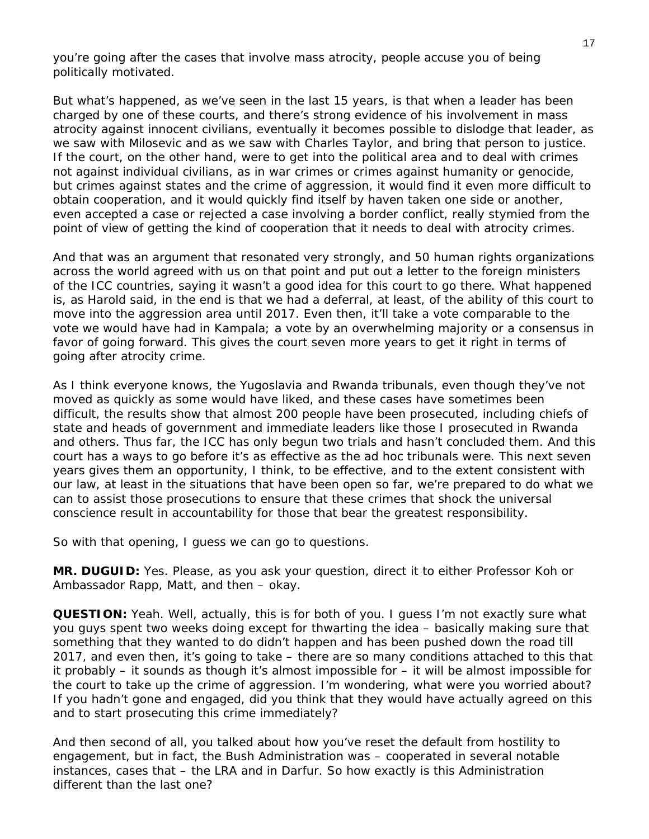you're going after the cases that involve mass atrocity, people accuse you of being politically motivated.

But what's happened, as we've seen in the last 15 years, is that when a leader has been charged by one of these courts, and there's strong evidence of his involvement in mass atrocity against innocent civilians, eventually it becomes possible to dislodge that leader, as we saw with Milosevic and as we saw with Charles Taylor, and bring that person to justice. If the court, on the other hand, were to get into the political area and to deal with crimes not against individual civilians, as in war crimes or crimes against humanity or genocide, but crimes against states and the crime of aggression, it would find it even more difficult to obtain cooperation, and it would quickly find itself by haven taken one side or another, even accepted a case or rejected a case involving a border conflict, really stymied from the point of view of getting the kind of cooperation that it needs to deal with atrocity crimes.

And that was an argument that resonated very strongly, and 50 human rights organizations across the world agreed with us on that point and put out a letter to the foreign ministers of the ICC countries, saying it wasn't a good idea for this court to go there. What happened is, as Harold said, in the end is that we had a deferral, at least, of the ability of this court to move into the aggression area until 2017. Even then, it'll take a vote comparable to the vote we would have had in Kampala; a vote by an overwhelming majority or a consensus in favor of going forward. This gives the court seven more years to get it right in terms of going after atrocity crime.

As I think everyone knows, the Yugoslavia and Rwanda tribunals, even though they've not moved as quickly as some would have liked, and these cases have sometimes been difficult, the results show that almost 200 people have been prosecuted, including chiefs of state and heads of government and immediate leaders like those I prosecuted in Rwanda and others. Thus far, the ICC has only begun two trials and hasn't concluded them. And this court has a ways to go before it's as effective as the ad hoc tribunals were. This next seven years gives them an opportunity, I think, to be effective, and to the extent consistent with our law, at least in the situations that have been open so far, we're prepared to do what we can to assist those prosecutions to ensure that these crimes that shock the universal conscience result in accountability for those that bear the greatest responsibility.

So with that opening, I guess we can go to questions.

**MR. DUGUID:** Yes. Please, as you ask your question, direct it to either Professor Koh or Ambassador Rapp, Matt, and then – okay.

**QUESTION:** Yeah. Well, actually, this is for both of you. I guess I'm not exactly sure what you guys spent two weeks doing except for thwarting the idea – basically making sure that something that they wanted to do didn't happen and has been pushed down the road till 2017, and even then, it's going to take – there are so many conditions attached to this that it probably – it sounds as though it's almost impossible for – it will be almost impossible for the court to take up the crime of aggression. I'm wondering, what were you worried about? If you hadn't gone and engaged, did you think that they would have actually agreed on this and to start prosecuting this crime immediately?

And then second of all, you talked about how you've reset the default from hostility to engagement, but in fact, the Bush Administration was – cooperated in several notable instances, cases that – the LRA and in Darfur. So how exactly is this Administration different than the last one?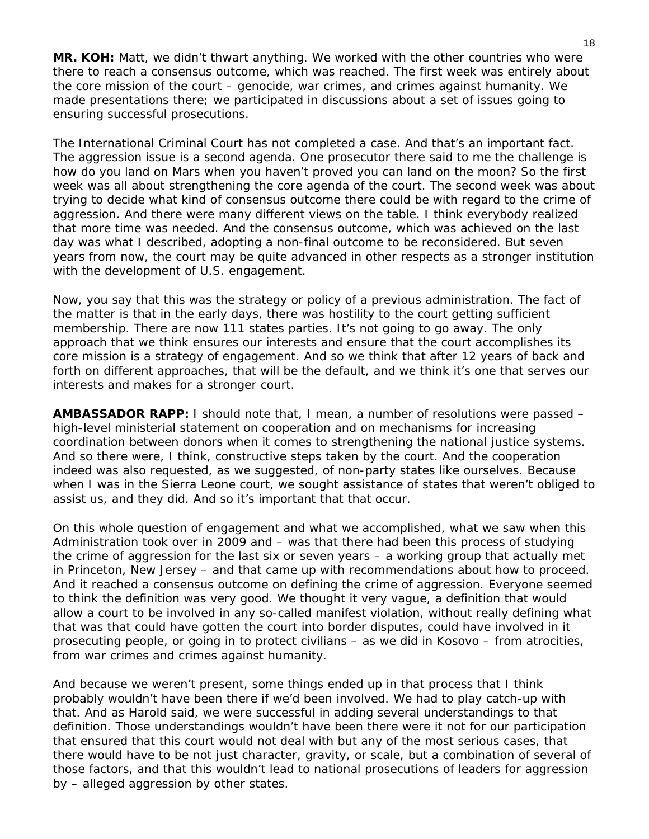**MR. KOH:** Matt, we didn't thwart anything. We worked with the other countries who were there to reach a consensus outcome, which was reached. The first week was entirely about the core mission of the court – genocide, war crimes, and crimes against humanity. We made presentations there; we participated in discussions about a set of issues going to ensuring successful prosecutions.

The International Criminal Court has not completed a case. And that's an important fact. The aggression issue is a second agenda. One prosecutor there said to me the challenge is how do you land on Mars when you haven't proved you can land on the moon? So the first week was all about strengthening the core agenda of the court. The second week was about trying to decide what kind of consensus outcome there could be with regard to the crime of aggression. And there were many different views on the table. I think everybody realized that more time was needed. And the consensus outcome, which was achieved on the last day was what I described, adopting a non-final outcome to be reconsidered. But seven years from now, the court may be quite advanced in other respects as a stronger institution with the development of U.S. engagement.

Now, you say that this was the strategy or policy of a previous administration. The fact of the matter is that in the early days, there was hostility to the court getting sufficient membership. There are now 111 states parties. It's not going to go away. The only approach that we think ensures our interests and ensure that the court accomplishes its core mission is a strategy of engagement. And so we think that after 12 years of back and forth on different approaches, that will be the default, and we think it's one that serves our interests and makes for a stronger court.

**AMBASSADOR RAPP:** I should note that, I mean, a number of resolutions were passed – high-level ministerial statement on cooperation and on mechanisms for increasing coordination between donors when it comes to strengthening the national justice systems. And so there were, I think, constructive steps taken by the court. And the cooperation indeed was also requested, as we suggested, of non-party states like ourselves. Because when I was in the Sierra Leone court, we sought assistance of states that weren't obliged to assist us, and they did. And so it's important that that occur.

On this whole question of engagement and what we accomplished, what we saw when this Administration took over in 2009 and – was that there had been this process of studying the crime of aggression for the last six or seven years – a working group that actually met in Princeton, New Jersey – and that came up with recommendations about how to proceed. And it reached a consensus outcome on defining the crime of aggression. Everyone seemed to think the definition was very good. We thought it very vague, a definition that would allow a court to be involved in any so-called manifest violation, without really defining what that was that could have gotten the court into border disputes, could have involved in it prosecuting people, or going in to protect civilians – as we did in Kosovo – from atrocities, from war crimes and crimes against humanity.

And because we weren't present, some things ended up in that process that I think probably wouldn't have been there if we'd been involved. We had to play catch-up with that. And as Harold said, we were successful in adding several understandings to that definition. Those understandings wouldn't have been there were it not for our participation that ensured that this court would not deal with but any of the most serious cases, that there would have to be not just character, gravity, or scale, but a combination of several of those factors, and that this wouldn't lead to national prosecutions of leaders for aggression by – alleged aggression by other states.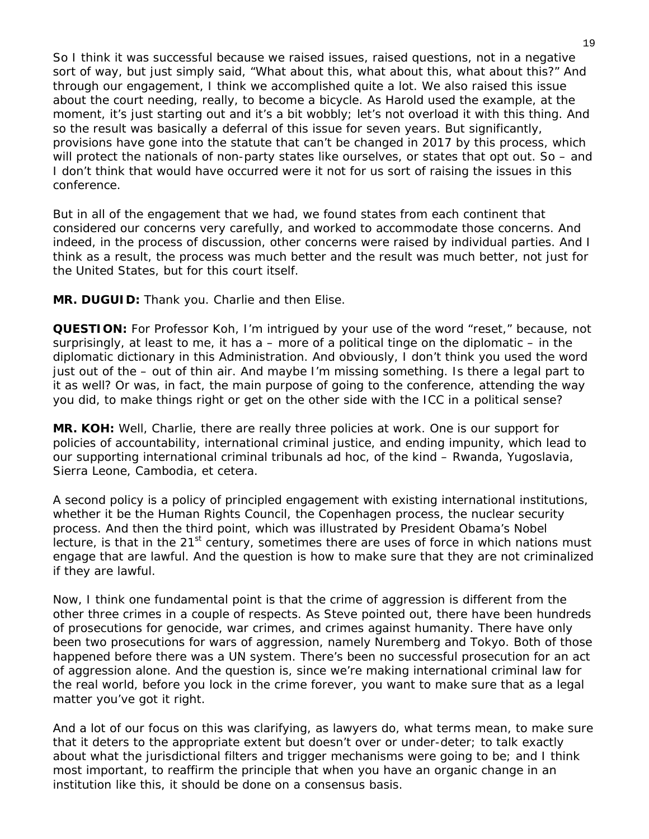So I think it was successful because we raised issues, raised questions, not in a negative sort of way, but just simply said, "What about this, what about this, what about this?" And through our engagement, I think we accomplished quite a lot. We also raised this issue about the court needing, really, to become a bicycle. As Harold used the example, at the moment, it's just starting out and it's a bit wobbly; let's not overload it with this thing. And so the result was basically a deferral of this issue for seven years. But significantly, provisions have gone into the statute that can't be changed in 2017 by this process, which will protect the nationals of non-party states like ourselves, or states that opt out. So - and I don't think that would have occurred were it not for us sort of raising the issues in this conference.

But in all of the engagement that we had, we found states from each continent that considered our concerns very carefully, and worked to accommodate those concerns. And indeed, in the process of discussion, other concerns were raised by individual parties. And I think as a result, the process was much better and the result was much better, not just for the United States, but for this court itself.

**MR. DUGUID:** Thank you. Charlie and then Elise.

**QUESTION:** For Professor Koh, I'm intrigued by your use of the word "reset," because, not surprisingly, at least to me, it has  $a$  – more of a political tinge on the diplomatic – in the diplomatic dictionary in this Administration. And obviously, I don't think you used the word just out of the – out of thin air. And maybe I'm missing something. Is there a legal part to it as well? Or was, in fact, the main purpose of going to the conference, attending the way you did, to make things right or get on the other side with the ICC in a political sense?

**MR. KOH:** Well, Charlie, there are really three policies at work. One is our support for policies of accountability, international criminal justice, and ending impunity, which lead to our supporting international criminal tribunals ad hoc, of the kind – Rwanda, Yugoslavia, Sierra Leone, Cambodia, et cetera.

A second policy is a policy of principled engagement with existing international institutions, whether it be the Human Rights Council, the Copenhagen process, the nuclear security process. And then the third point, which was illustrated by President Obama's Nobel lecture, is that in the  $21<sup>st</sup>$  century, sometimes there are uses of force in which nations must engage that are lawful. And the question is how to make sure that they are not criminalized if they are lawful.

Now, I think one fundamental point is that the crime of aggression is different from the other three crimes in a couple of respects. As Steve pointed out, there have been hundreds of prosecutions for genocide, war crimes, and crimes against humanity. There have only been two prosecutions for wars of aggression, namely Nuremberg and Tokyo. Both of those happened before there was a UN system. There's been no successful prosecution for an act of aggression alone. And the question is, since we're making international criminal law for the real world, before you lock in the crime forever, you want to make sure that as a legal matter you've got it right.

And a lot of our focus on this was clarifying, as lawyers do, what terms mean, to make sure that it deters to the appropriate extent but doesn't over or under-deter; to talk exactly about what the jurisdictional filters and trigger mechanisms were going to be; and I think most important, to reaffirm the principle that when you have an organic change in an institution like this, it should be done on a consensus basis.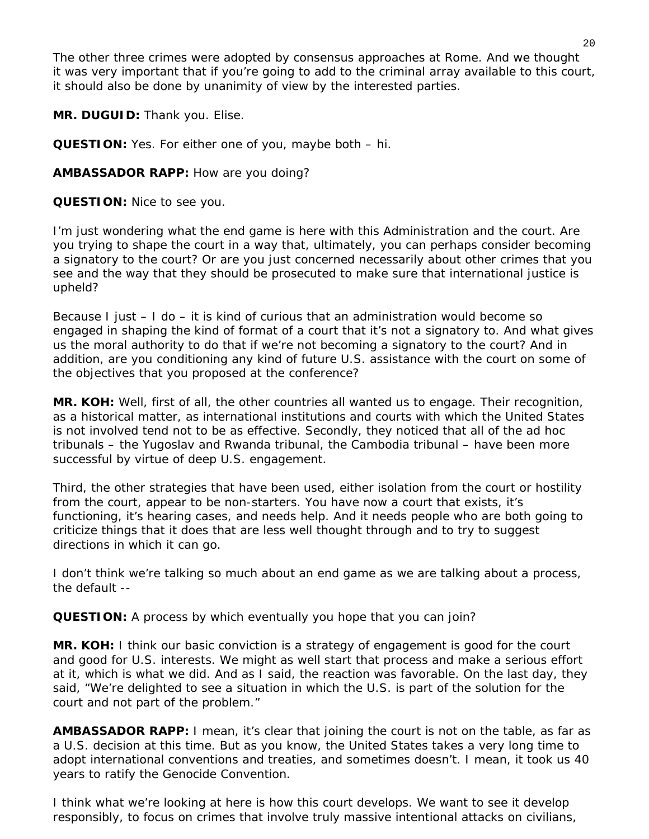The other three crimes were adopted by consensus approaches at Rome. And we thought it was very important that if you're going to add to the criminal array available to this court, it should also be done by unanimity of view by the interested parties.

**MR. DUGUID:** Thank you. Elise.

**QUESTION:** Yes. For either one of you, maybe both – hi.

**AMBASSADOR RAPP:** How are you doing?

**QUESTION:** Nice to see you.

I'm just wondering what the end game is here with this Administration and the court. Are you trying to shape the court in a way that, ultimately, you can perhaps consider becoming a signatory to the court? Or are you just concerned necessarily about other crimes that you see and the way that they should be prosecuted to make sure that international justice is upheld?

Because I just – I do – it is kind of curious that an administration would become so engaged in shaping the kind of format of a court that it's not a signatory to. And what gives us the moral authority to do that if we're not becoming a signatory to the court? And in addition, are you conditioning any kind of future U.S. assistance with the court on some of the objectives that you proposed at the conference?

**MR. KOH:** Well, first of all, the other countries all wanted us to engage. Their recognition, as a historical matter, as international institutions and courts with which the United States is not involved tend not to be as effective. Secondly, they noticed that all of the ad hoc tribunals – the Yugoslav and Rwanda tribunal, the Cambodia tribunal – have been more successful by virtue of deep U.S. engagement.

Third, the other strategies that have been used, either isolation from the court or hostility from the court, appear to be non-starters. You have now a court that exists, it's functioning, it's hearing cases, and needs help. And it needs people who are both going to criticize things that it does that are less well thought through and to try to suggest directions in which it can go.

I don't think we're talking so much about an end game as we are talking about a process, the default --

**QUESTION:** A process by which eventually you hope that you can join?

**MR. KOH:** I think our basic conviction is a strategy of engagement is good for the court and good for U.S. interests. We might as well start that process and make a serious effort at it, which is what we did. And as I said, the reaction was favorable. On the last day, they said, "We're delighted to see a situation in which the U.S. is part of the solution for the court and not part of the problem."

**AMBASSADOR RAPP:** I mean, it's clear that joining the court is not on the table, as far as a U.S. decision at this time. But as you know, the United States takes a very long time to adopt international conventions and treaties, and sometimes doesn't. I mean, it took us 40 years to ratify the Genocide Convention.

I think what we're looking at here is how this court develops. We want to see it develop responsibly, to focus on crimes that involve truly massive intentional attacks on civilians,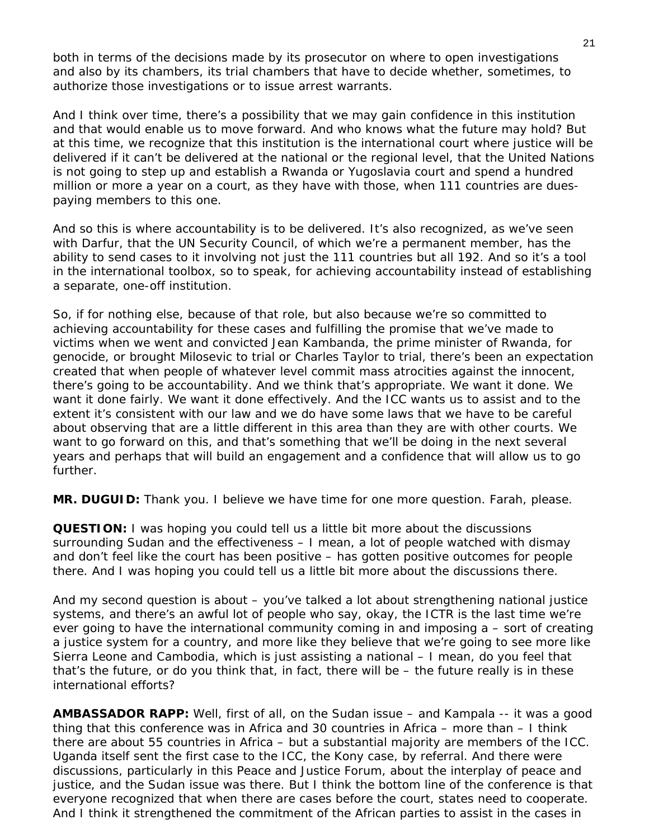both in terms of the decisions made by its prosecutor on where to open investigations and also by its chambers, its trial chambers that have to decide whether, sometimes, to authorize those investigations or to issue arrest warrants.

And I think over time, there's a possibility that we may gain confidence in this institution and that would enable us to move forward. And who knows what the future may hold? But at this time, we recognize that this institution is the international court where justice will be delivered if it can't be delivered at the national or the regional level, that the United Nations is not going to step up and establish a Rwanda or Yugoslavia court and spend a hundred million or more a year on a court, as they have with those, when 111 countries are duespaying members to this one.

And so this is where accountability is to be delivered. It's also recognized, as we've seen with Darfur, that the UN Security Council, of which we're a permanent member, has the ability to send cases to it involving not just the 111 countries but all 192. And so it's a tool in the international toolbox, so to speak, for achieving accountability instead of establishing a separate, one-off institution.

So, if for nothing else, because of that role, but also because we're so committed to achieving accountability for these cases and fulfilling the promise that we've made to victims when we went and convicted Jean Kambanda, the prime minister of Rwanda, for genocide, or brought Milosevic to trial or Charles Taylor to trial, there's been an expectation created that when people of whatever level commit mass atrocities against the innocent, there's going to be accountability. And we think that's appropriate. We want it done. We want it done fairly. We want it done effectively. And the ICC wants us to assist and to the extent it's consistent with our law and we do have some laws that we have to be careful about observing that are a little different in this area than they are with other courts. We want to go forward on this, and that's something that we'll be doing in the next several years and perhaps that will build an engagement and a confidence that will allow us to go further.

**MR. DUGUID:** Thank you. I believe we have time for one more question. Farah, please.

**QUESTION:** I was hoping you could tell us a little bit more about the discussions surrounding Sudan and the effectiveness – I mean, a lot of people watched with dismay and don't feel like the court has been positive – has gotten positive outcomes for people there. And I was hoping you could tell us a little bit more about the discussions there.

And my second question is about – you've talked a lot about strengthening national justice systems, and there's an awful lot of people who say, okay, the ICTR is the last time we're ever going to have the international community coming in and imposing a – sort of creating a justice system for a country, and more like they believe that we're going to see more like Sierra Leone and Cambodia, which is just assisting a national – I mean, do you feel that that's the future, or do you think that, in fact, there will be – the future really is in these international efforts?

**AMBASSADOR RAPP:** Well, first of all, on the Sudan issue – and Kampala -- it was a good thing that this conference was in Africa and 30 countries in Africa – more than – I think there are about 55 countries in Africa – but a substantial majority are members of the ICC. Uganda itself sent the first case to the ICC, the Kony case, by referral. And there were discussions, particularly in this Peace and Justice Forum, about the interplay of peace and justice, and the Sudan issue was there. But I think the bottom line of the conference is that everyone recognized that when there are cases before the court, states need to cooperate. And I think it strengthened the commitment of the African parties to assist in the cases in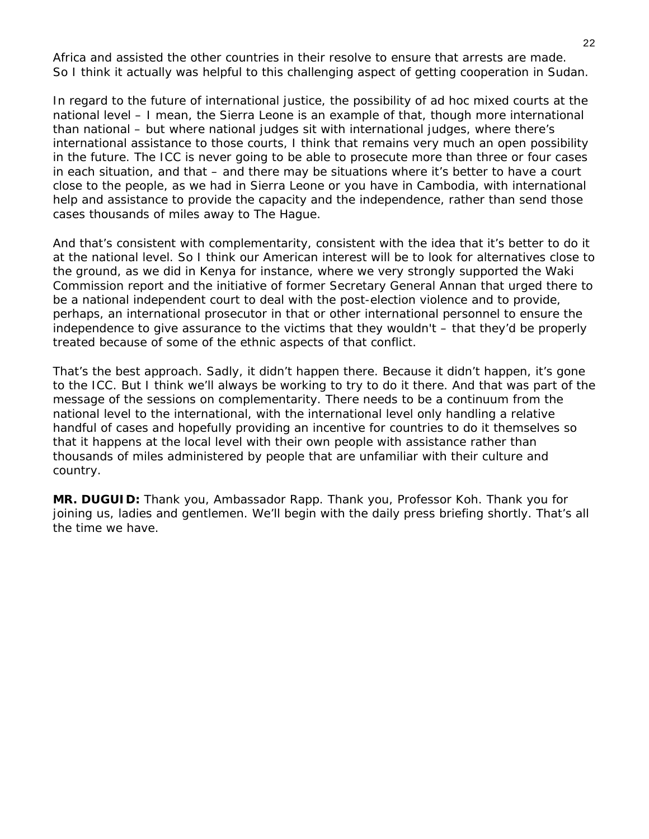Africa and assisted the other countries in their resolve to ensure that arrests are made. So I think it actually was helpful to this challenging aspect of getting cooperation in Sudan.

In regard to the future of international justice, the possibility of ad hoc mixed courts at the national level – I mean, the Sierra Leone is an example of that, though more international than national – but where national judges sit with international judges, where there's international assistance to those courts, I think that remains very much an open possibility in the future. The ICC is never going to be able to prosecute more than three or four cases in each situation, and that – and there may be situations where it's better to have a court close to the people, as we had in Sierra Leone or you have in Cambodia, with international help and assistance to provide the capacity and the independence, rather than send those cases thousands of miles away to The Hague.

And that's consistent with complementarity, consistent with the idea that it's better to do it at the national level. So I think our American interest will be to look for alternatives close to the ground, as we did in Kenya for instance, where we very strongly supported the Waki Commission report and the initiative of former Secretary General Annan that urged there to be a national independent court to deal with the post-election violence and to provide, perhaps, an international prosecutor in that or other international personnel to ensure the independence to give assurance to the victims that they wouldn't – that they'd be properly treated because of some of the ethnic aspects of that conflict.

That's the best approach. Sadly, it didn't happen there. Because it didn't happen, it's gone to the ICC. But I think we'll always be working to try to do it there. And that was part of the message of the sessions on complementarity. There needs to be a continuum from the national level to the international, with the international level only handling a relative handful of cases and hopefully providing an incentive for countries to do it themselves so that it happens at the local level with their own people with assistance rather than thousands of miles administered by people that are unfamiliar with their culture and country.

**MR. DUGUID:** Thank you, Ambassador Rapp. Thank you, Professor Koh. Thank you for joining us, ladies and gentlemen. We'll begin with the daily press briefing shortly. That's all the time we have.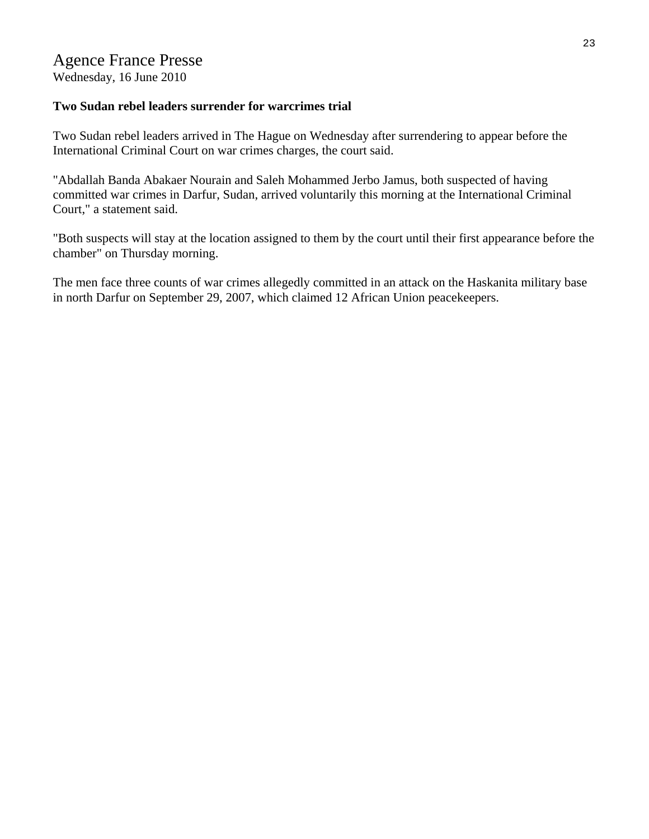# Agence France Presse

Wednesday, 16 June 2010

# **Two Sudan rebel leaders surrender for warcrimes trial**

Two Sudan rebel leaders arrived in The Hague on Wednesday after surrendering to appear before the International Criminal Court on war crimes charges, the court said.

"Abdallah Banda Abakaer Nourain and Saleh Mohammed Jerbo Jamus, both suspected of having committed war crimes in Darfur, Sudan, arrived voluntarily this morning at the International Criminal Court," a statement said.

"Both suspects will stay at the location assigned to them by the court until their first appearance before the chamber" on Thursday morning.

The men face three counts of war crimes allegedly committed in an attack on the Haskanita military base in north Darfur on September 29, 2007, which claimed 12 African Union peacekeepers.